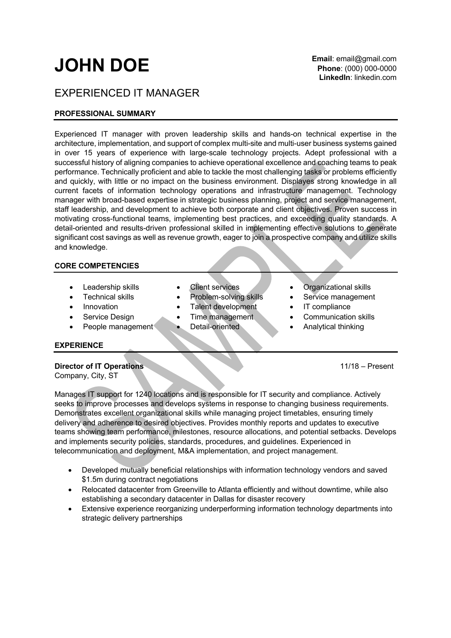# **JOHN DOE**

## EXPERIENCED IT MANAGER

### **PROFESSIONAL SUMMARY**

Experienced IT manager with proven leadership skills and hands-on technical expertise in the architecture, implementation, and support of complex multi-site and multi-user business systems gained in over 15 years of experience with large-scale technology projects. Adept professional with a successful history of aligning companies to achieve operational excellence and coaching teams to peak performance. Technically proficient and able to tackle the most challenging tasks or problems efficiently and quickly, with little or no impact on the business environment. Displayes strong knowledge in all current facets of information technology operations and infrastructure management. Technology manager with broad-based expertise in strategic business planning, project and service management, staff leadership, and development to achieve both corporate and client objectives. Proven success in motivating cross-functional teams, implementing best practices, and exceeding quality standards. A detail-oriented and results-driven professional skilled in implementing effective solutions to generate significant cost savings as well as revenue growth, eager to join a prospective company and utilize skills and knowledge.

#### **CORE COMPETENCIES**

- 
- 
- 
- 
- 
- 
- Technical skills Problem-solving skills Service management
- Innovation Talent development IT compliance
- Service Design Time management Communication skills
	-
- **Leadership skills** Client services Organizational skills
	-
	-
	-
- **People management Detail-oriented Analytical thinking**

#### **EXPERIENCE**

#### **Director of IT Operations** 11/18 – Present

Company, City, ST

Manages IT support for 1240 locations and is responsible for IT security and compliance. Actively seeks to improve processes and develops systems in response to changing business requirements. Demonstrates excellent organizational skills while managing project timetables, ensuring timely delivery and adherence to desired objectives. Provides monthly reports and updates to executive teams showing team performance, milestones, resource allocations, and potential setbacks. Develops and implements security policies, standards, procedures, and guidelines. Experienced in telecommunication and deployment, M&A implementation, and project management.

- Developed mutually beneficial relationships with information technology vendors and saved \$1.5m during contract negotiations
- Relocated datacenter from Greenville to Atlanta efficiently and without downtime, while also establishing a secondary datacenter in Dallas for disaster recovery
- Extensive experience reorganizing underperforming information technology departments into strategic delivery partnerships